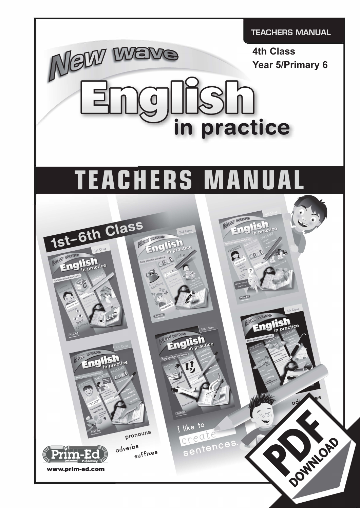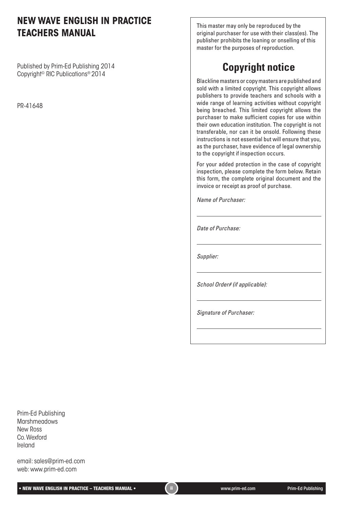## **NEW WAVE ENGLISH IN PRACTICE TEACHERS MANUAL**

Published by Prim-Ed Publishing 2014 Copyright© RIC Publications® 2014

PR-41648

This master may only be reproduced by the original purchaser for use with their class(es). The publisher prohibits the loaning or onselling of this master for the purposes of reproduction.

# **Copyright notice**

Blackline masters or copy masters are published and sold with a limited copyright. This copyright allows publishers to provide teachers and schools with a wide range of learning activities without copyright being breached. This limited copyright allows the purchaser to make sufficient copies for use within their own education institution. The copyright is not transferable, nor can it be onsold. Following these instructions is not essential but will ensure that you, as the purchaser, have evidence of legal ownership to the copyright if inspection occurs.

For your added protection in the case of copyright inspection, please complete the form below. Retain this form, the complete original document and the invoice or receipt as proof of purchase.

*Name of Purchaser:*

*Date of Purchase:*

*Supplier:*

*School Order# (if applicable):*

*Signature of Purchaser:*

Prim-Ed Publishing **Marshmeadows** New Ross Co. Wexford Ireland

email: sales@prim-ed.com web: www.prim-ed.com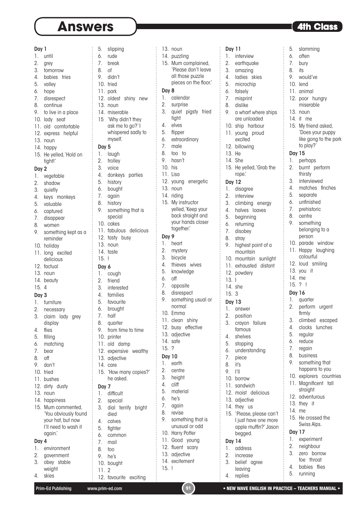# **Answers and Answers 1**

| Day 1    |                                              | 5.       | slipping                      |
|----------|----------------------------------------------|----------|-------------------------------|
| 1.       | -----------------------------------<br>until | 6.       | rude                          |
| 2.       | grey                                         | 7.       | break                         |
| 3.       | tomorrow                                     | 8.       | οf                            |
| 4.       | babies tries                                 | 9.       | didn't                        |
| 5.       | valley                                       |          | 10. tried                     |
| 6.       | hope                                         |          | 11. park                      |
| 7.       | disrespect                                   |          | 12. oldest shiny<br>ney       |
| 8.       | continue                                     |          | 13. noun                      |
| 9.       | to live in a place                           |          | 14. miserable                 |
|          | 10. lady seat                                |          | 15 'Why didn't they           |
|          | 11. old comfortable                          |          | ask me to go?' I              |
|          | 12. express helpful                          |          | whispered sadly to            |
|          | 13. noun                                     |          | myself.                       |
|          | 14. happy                                    | Day 5    |                               |
|          | 15. He yelled, 'Hold on                      | 1.       | laugh                         |
|          | tight!'                                      | 2.       | trolley                       |
| Day 2    |                                              | 3.       | voice                         |
| 1.       | vegetable                                    | 4.       | donkeys parties<br>5. history |
| 2.       | shadow                                       |          | 6. bought                     |
| 3.       | quietly                                      | 7.       | again                         |
| 4.       | keys monkeys                                 | 8.       | history                       |
| 5.       | valuable                                     | 9.       | something that is             |
| 6.<br>7. | captured<br>disappear                        |          | special                       |
| 8.       | women                                        |          | 10. cakes                     |
| 9.       | something kept as a                          |          | 11. fabulous deliciou         |
|          | reminder                                     | 12.      | tasty busy                    |
|          | 10. holiday                                  |          | 13. noun                      |
| 11.      | long excited                                 |          | 14. taste                     |
|          | delicious                                    | 15.      | ļ                             |
|          | 12. factual                                  | Day 6    |                               |
|          | 13. noun                                     | 1.       | cough                         |
|          | 14. beauty                                   | 2.       | friend                        |
| 15.4     |                                              |          | 3. interested                 |
| Day 3    |                                              |          | 4. families<br>5. favourite   |
|          | 1. furniture                                 |          |                               |
| 2.       | necessary                                    | 6.       | brought                       |
| 3.       | claim lady grey                              | 7.       | half                          |
|          | display                                      | 8.<br>9. | quarter                       |
| 4.<br>5. | flies                                        |          | from time to time             |
| 6.       | filling<br>matching                          |          | 10. printer<br>11. old damp   |
| 7.       | bear                                         |          | 12. expensive wealth          |
| 8.       | off                                          |          | 13. adjective                 |
| 9.       | don't                                        |          | 14. care                      |
| 10.      | tried                                        |          | 15. 'How many copies          |
|          | 11. bushes                                   |          | he asked.                     |
|          | 12. dirty dusty                              | Day 7    |                               |
|          | 13. noun                                     | 1.       | difficult                     |
|          | 14. happiness                                | 2.       | special                       |
|          | 15. Mum commented,                           | 3.       | dial terrify brigh            |
|          | 'You obviously found                         |          | died                          |
|          | your hat, but now                            | 4.       | calves                        |
|          | I'll need to wash it                         |          | 5. fighter                    |
|          | again.                                       | 6.       | common                        |
| Day 4    |                                              | 7.       | mail                          |
| 1.       | environment                                  | 8.       | too                           |
| 2.       | government                                   | 9.       | he's                          |
| 3.       | obey stable                                  |          | 10. bought                    |
| 4.       | weight<br>skies                              | 11.      | $\overline{2}$                |
|          |                                              |          | 12. favourite exciting        |

| 5.               | slipping                   |  |
|------------------|----------------------------|--|
| 6.               | rude                       |  |
| 7.               | break                      |  |
| 8.               | οf                         |  |
| 9.               | didn't                     |  |
| 10.              | tried                      |  |
| 11.              | park                       |  |
|                  | 12. oldest shiny<br>new    |  |
|                  | 13. noun                   |  |
|                  | 14. miserable              |  |
| 15               | 'Why didn't they           |  |
|                  | ask me to go?'I            |  |
|                  | whispered sadly to         |  |
|                  | myself.                    |  |
| Day 5            |                            |  |
| 1.               | laugh                      |  |
| 2.               | trolley                    |  |
| 3.               | voice                      |  |
| 4.               | donkeys parties            |  |
| 5.               | history                    |  |
| 6.               | bought                     |  |
| 7.               | again                      |  |
| 8.               | history                    |  |
| 9.               | something that is          |  |
|                  | special                    |  |
| 10.              | cakes                      |  |
|                  | 11. fabulous delicious     |  |
|                  | 12. tasty busy             |  |
|                  | 13. noun                   |  |
|                  | 14. taste                  |  |
| 15.              | ļ                          |  |
| Day 6            |                            |  |
| 1.               | cough                      |  |
| $\overline{2}$ . | friend                     |  |
| 3.               | interested                 |  |
|                  | 4. families                |  |
| 5.               | favourite                  |  |
| 6.               | brought                    |  |
| 7.               | half                       |  |
| 8.               | quarter                    |  |
| 9.               | from time to time          |  |
| 10.              | printer                    |  |
| 11.              | old damp<br>wealthy        |  |
| 13.              | 12. expensive<br>adjective |  |
| 14.              | care                       |  |
| 15.              | 'How many copies?'         |  |
|                  | he asked.                  |  |
| Day 7            |                            |  |
| 1.               | difficult                  |  |
| 2.               | special                    |  |
| 3.               | dial terrify bright        |  |
|                  | died                       |  |
| 4.               | calves                     |  |
| 5.               | fighter                    |  |
| 6.               | common                     |  |
| 7.               | mail                       |  |
| 8.               | too                        |  |
| 9.               | he's                       |  |
|                  | 10. bought                 |  |
| 11.              | 2                          |  |

| 13. noun |  |
|----------|--|
|----------|--|

- 14. puzzling
- 15. Mum complained, 'Please don't leave all those puzzle pieces on the floor.'

#### Day 8

- 1. calendar
- 2. surprise 3. quiet pigsty fried tight
- 4. elves 5. flipper
- 6. extraordinary
- 7. male
- 8. too to
- 9. hasn't
- 10. his
	- 11. Lisa 12. voung energetic
	- 13. noun
	- 14. riding 15. My instructor yelled, 'Keep your back straight and your hands closer together.'

### Day 9

- 1. heart
- 2. mystery
- 3. bicycle
- 4. thieves wives
- 5. knowledge
- 6. off
- 7. opposite
- 8. disrespect
- 9. something usual or normal
- 10. Emma
- 11. clean shiny
- 12. busy effective
- 13. adjective 14. safe
- 15. ?

2. centre 3. height 4. cliff 5. material  $6.$  he's 7. again 8. revise

- Day 10
- 1. earth
- Day 7
- 
- 
- 7. mail
- 8. too
- Prim-Ed Publishing www.prim-ed.com **91 NEW WAVE ENGLISH IN PRACTICE TEACHERS MANUAL •** NEW WAVE ENGLISH IN PRACTICE TEACHERS MANUAL
	-

15. !

9. something that is unusual or odd 10. Harry Potter 11. Good young 12. fluent scary 13. adjective 14. excitement

2. earthquake 3. amazing 4. ladies skies 5. microchip

Day 11 1. interview

- 6. falsely
- 7. misprint
	- 8. dislike
	- 9. a wharf where ships are unloaded
	- 10. ship harbour 11. young proud excited
	- 12. billowing
	- 13. He
	- 14. She
	- 15. He yelled, 'Grab the rope.'

#### Day 12

- 1. disagree
- 2. interview
- 3. climbing energy
- 4. halves loaves
- 5. beginning
- 6. returning 7. disobey
- 8. stray
- 
- 9. highest point of a mountain
- 10. mountain sunlight
- 11. exhausted distant
- 12. powdery
- 13. I 14. she
- 15. 3

### Day 13

- 1. answer
- 2. position
- 3. crayon failure
- famous
- 4. shelves
- 5. stopping
- 6. understanding
- 7. piece
- 8. it's
- 9. I'll
- 10. borrow 11. sandwich
- 12. moist delicious
- 13. adjective
- 14. they us
- 15. 'Please, please can't
- I just have one more apple muffin?' Jason begged.

### Day 14

- 1. address
- 2. increase
- 3. belief agree
- leaving 4. replies

10. lend 11. animal

5. slamming 6. often 7. bury 8. its 9. would've

12. poor hungry miserable

15. My friend asked, 'Does your puppy like gong to the park

to play?'

15. He crossed the Swiss Alps.

Day 17 1. experiment 2. neighbour 3. zero borrow foe throat 4. babies flies 5. running

Day 15 1. perhaps 2. burnt perform thirsty 3. interviewed 4. matches finches 5. separate 6. unfinished 7. prehistoric 8. centre 9. something belonging to a person 10. parade window 11. Happy laughing colourful 12. loud smiling 13. you it 14. me 15. ? ! Day 16 1. quarter 2. perform urgent firmly 3. climbed escaped 4. clocks lunches 5. regular 6. reduce 7. regain 8. business 9. something that happens to you 10. explorers countries 11. Magnificent tall straight 12. adventurous 13. they it 14. me

13. noun 14. it me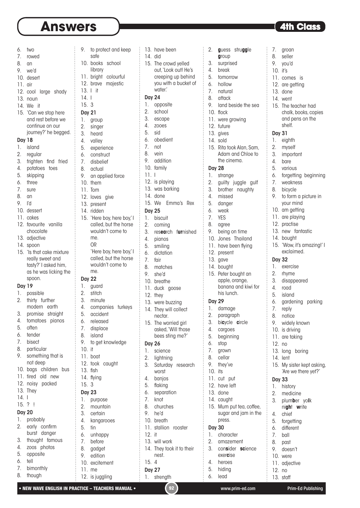| 6.                  | two                               | 9.                  | to prote                  |
|---------------------|-----------------------------------|---------------------|---------------------------|
| 7.                  | rowed                             |                     | safe                      |
| 8.                  | an                                | 10.                 | books                     |
| 9.                  | we'd                              |                     | library                   |
| 10.                 | desert                            |                     | 11. bright                |
| 11.                 | air                               |                     | 12. brave                 |
| 12.                 | large shady<br>cool               | 13.                 | l it                      |
| 13.                 | noun                              | 14.1                |                           |
|                     | 14. We it                         | 15.3                |                           |
| 15.                 | 'Can we stop here                 | <b>Day 21</b>       |                           |
|                     | and rest before we                | 1.                  | group                     |
|                     | continue on our                   | 2.                  | singer                    |
|                     | journey?' he begged.              | 3.                  | heard                     |
| <b>Day 18</b><br>1. |                                   | 4.                  | valley                    |
| 2.                  | island                            |                     | 5. experie                |
| 3.                  | regular<br>frighten<br>find fried |                     | 6. constru<br>7. disbelie |
| 4.                  | potatoes<br>toes                  | 8.                  | actual                    |
| 5.                  | skipping                          |                     | 9. an app                 |
| 6.                  | three                             | 10.                 | them                      |
| 7.                  | sure                              | 11.                 | Tom                       |
| 8.                  | an                                | 12.                 | loves                     |
| 9.                  | ľd                                | 13.                 | presen                    |
| 10.                 | dessert                           |                     | 14. ridden                |
|                     | 11. cakes                         | 15.                 | 'Here b                   |
| 12.                 | favourite vanilla                 |                     | called,                   |
|                     | chocolate                         |                     | wouldr                    |
|                     | 13. adjective                     |                     | me.                       |
|                     | 14. spoon                         |                     | OR                        |
| 15.                 | 'Is that cake mixture             |                     | 'Here b                   |
|                     | really sweet and                  |                     | called,                   |
|                     | tasty?' I asked him,              |                     | wouldr<br>me.             |
|                     | as he was licking the<br>spoon.   |                     |                           |
| <b>Day 19</b>       |                                   | <b>Day 22</b><br>1. | guard                     |
|                     | 1. possible                       | 2.                  | stitch                    |
| 2.                  | thirty further                    | 3.                  | minute                    |
|                     | modern earth                      | 4.                  | compa                     |
| 3.                  | straight<br>promise               | 5.                  | accide                    |
| 4.                  | tomatoes<br>pianos                | 6.                  | release                   |
| 5.                  | often                             | 7.                  | displac                   |
| 6.                  | tender                            | 8.                  | island                    |
| 7.                  | bisect                            | 9.                  | to get l                  |
| 8.                  | particular                        | 10.                 | it                        |
| 9.                  | something that is                 | 11.                 | boat                      |
|                     | not deep                          | 12.                 | took<br>$\mathsf{C}$      |
| 10.                 | children<br>bus<br>bags           | 13.                 | fish                      |
| 11.                 | tired<br>old new                  | 14.                 | flying                    |
| 12.                 | noisy packed                      | 15.                 | 3                         |
| 13.                 | They                              | <b>Day 23</b>       |                           |
| 14.                 | I                                 | 1.                  | purpos                    |
| 15.                 | $?$ !                             | 2.                  | mount                     |
| <b>Day 20</b><br>1. |                                   | 3.                  | certain                   |
| 2.                  | probably<br>early confirm         | 4.                  | kangar                    |
|                     | burst danger                      | 5.                  | tin                       |
| 3.                  | thought famous                    | 6.                  | unhap                     |
| 4.                  | zoos photos                       | 7.<br>8.            | before<br>gadget          |
| 5.                  | opposite                          | 9.                  | edition                   |
| 6.                  | tell                              | 10.                 | exciten                   |
| 7.                  | bimonthly                         | 11.                 | me                        |
| 8.                  | though                            |                     | 12. is jugg               |

| 9.                  | to protect and keep<br>safe |
|---------------------|-----------------------------|
| 10.                 | books<br>school             |
|                     | library                     |
| 11.                 | bright colourful            |
| 12.                 | brave majestic              |
| 13.                 | it<br>L                     |
| 14.                 | I                           |
| 15.                 | 3                           |
| <b>Day 21</b>       |                             |
| 1.                  | group                       |
| 2.                  | singer                      |
| 3.                  | heard                       |
| 4.                  | valley                      |
| 5.                  | experience                  |
| 6.                  | construct                   |
| 7.                  | disbelief                   |
| 8.                  | actual                      |
| 9.                  | an applied force            |
| 10.<br>11.          | them<br>Tom                 |
| 12.                 | loves<br>give               |
|                     | 13. present                 |
|                     | 14. ridden                  |
|                     | 15. 'Here boy, here boy,' I |
|                     | called, but the horse       |
|                     | wouldn't come to            |
|                     | me.                         |
|                     | OR                          |
|                     | 'Here boy, here boy,' I     |
|                     | called, but the horse       |
|                     | wouldn't come to            |
|                     | me.                         |
| <b>Day 22</b><br>1. |                             |
| 2.                  | guard<br>stitch             |
| 3.                  | minute                      |
| 4.                  | companies turkeys           |
| 5.                  | accident                    |
|                     | released                    |
| 6.<br>7.            | displace                    |
| 8.                  | island                      |
| 9.                  | to get knowledge            |
| 10.                 | it                          |
|                     | 11. boat                    |
|                     | 12. took caught             |
| 13. fish            |                             |
|                     | 14. flying                  |
| 15.3                |                             |
| <b>Day 23</b>       |                             |
| 1.                  | purpose                     |
| $\overline{2}$ .    | mountain                    |
| 3.<br>4.            | certain                     |
| 5.                  | kangarooes<br>tin           |
| 6.                  | unhappy                     |
| 7.                  | before                      |
| 8.                  | gadget                      |
| 9.                  | edition                     |
|                     | 10. excitement              |
| 11.                 | me                          |
| 12.                 | is juggling                 |
|                     |                             |

| 13.           | have been                      | 2.                  | gues          |
|---------------|--------------------------------|---------------------|---------------|
| 14. did       |                                |                     | grou          |
| 15.           | The crowd yelled               | 3.                  | surpr         |
|               | out, 'Look out! He's           | 4.                  | breal         |
|               | creeping up behind             | 5.                  | tomo          |
|               | you with a bucket of<br>water. | 6.                  | hollo         |
|               |                                | 7.                  | natur         |
| Day 24        |                                | 8.                  | attac         |
| 1.            | opposite                       | 9.                  | land          |
| 2.            | school                         | 10.                 | flock         |
| 3.<br>4.      | escape<br>zooes                | 11.                 | were          |
| 5.            | sid                            | 12.                 | futur         |
| 6.            | obedient                       | 13.                 | gives         |
| 7.            | not                            | 14.                 | sold          |
| 8.            |                                | 15.                 | Rita t        |
| 9.            | vein<br>addition               |                     | Adan<br>the c |
| 10.           | family                         |                     |               |
| 11.           | I                              | <b>Day 28</b><br>1. |               |
|               | 12. is playing                 | 2.                  | stran         |
|               | 13. was barking                |                     | guilty        |
|               | 14. done                       | 3.                  | broth         |
| 15. We        | Emma's<br>Rex                  | 4.<br>5.            | miss          |
|               |                                |                     | dang          |
| <b>Day 25</b> |                                | 6.                  | weak          |
| 1.            | biscuit                        | 7.                  | <b>YES</b>    |
| 2.            | coming                         | 8.                  | agree         |
| 3.            | research furnished             | 9.                  | being         |
| 4.            | pianos                         | 10.                 | Jone          |
| 5.            | smiling                        | 11.                 | have          |
| 6.            | dictation                      | 12.                 | prese         |
| 7.            | fair                           | 13.                 | gave          |
| 8.            | matches                        | 14.<br>15.          | boug<br>Peter |
| 9.            | she'd                          |                     | apple         |
|               | 10. breathe                    |                     | bana          |
|               | 11. duck goose                 |                     | his lu        |
|               | 12. they<br>13. were buzzing   | <b>Day 29</b>       |               |
|               | 14. They will collect          | 1.                  | dam           |
|               | nectar.                        |                     | 2. para       |
| 15.           | The worried girl               | 3.                  | bicyc         |
|               | asked, 'Will those             | 4.                  | cargo         |
|               | bees sting me?'                | 5.                  | begir         |
| Day 26        |                                | 6.                  | stop          |
| 1.            | science                        | 7.                  | grow          |
| 2.            | lightning                      | 8.                  | cella         |
| 3.            | Saturday research              | 9.                  | they'         |
|               | worst                          | 10.                 | its           |
| 4.            | banjos                         | 11.                 | cut           |
| 5.            | flaking                        | 12.                 | have          |
| 6.            | separation                     | 13.                 | done          |
| 7.            | knot                           | 14.                 | caug          |
| 8.            | churches                       | 15.                 | Mum           |
| 9.            | he'd                           |                     | suga          |
|               | 10. breath                     |                     | press         |
|               | 11. stallion rooster           | <b>Day 30</b>       |               |
| 12. it        |                                | 1.                  | chard         |
|               | 13. will work                  | 2.                  | amaz          |
|               | 14. They took it to their      | 3.                  | cons          |
|               | nest.                          |                     | exerc         |
| 15.           | 4                              | 4.                  | hero          |
| <b>Day 27</b> |                                | 5.                  | hidin         |
| 1.            | strength                       | 6.                  | lead          |
|               |                                |                     |               |

 $\vdots$ 

 $\vdots$  $\vdots$ 

÷

ŧ  $\vdots$ 

| 2.            | struggle<br>guess                     | 7.                  | groan                      |
|---------------|---------------------------------------|---------------------|----------------------------|
|               | group                                 | 8.                  | seller                     |
| 3.            | surprised                             |                     | 9. you'd                   |
| 4.            | break                                 | 10. it's            |                            |
| 5.            | tomorrow                              |                     | 11. comes is               |
| 6.            | hollow                                |                     | 12. are getting            |
| 7.            | natural                               |                     | 13. done                   |
| 8.            | attack                                |                     | 14. went                   |
| 9.            | land beside the sea                   |                     | 15. The teacher had        |
|               | 10. flock                             |                     | chalk, books, copies       |
|               | 11. were growing                      |                     | and pens on the<br>shelf.  |
|               | 12. future                            |                     |                            |
|               | 13. gives<br>14. sold                 | <b>Day 31</b><br>1. |                            |
|               | 15. Rita took Alan, Sam,              | 2.                  | eighth<br>myself           |
|               | Adam and Chloe to                     | 3.                  | important                  |
|               | the cinema.                           | 4.                  | bare                       |
| <b>Day 28</b> |                                       |                     | 5. various                 |
| 1.            | strange                               |                     | 6. forgetting beginning    |
| 2.            | guilty juggle gulf                    |                     | 7. weakness                |
| 3.            | brother naughty                       |                     | 8. bicycle                 |
| 4.            | missed                                | 9.                  | to form a picture in       |
| 5.            | danger                                |                     | your mind                  |
| 6.            | weak                                  |                     | 10. am getting             |
| 7.            | <b>YES</b>                            |                     | 11. are playing            |
| 8.            | agree                                 |                     | 12. practise               |
|               | 9. being on time                      |                     | 13. new fantastic          |
|               | 10. Jones Thailand                    |                     | 14. bought                 |
|               | 11. have been flying                  |                     | 15. 'Wow, it's amazing!' I |
|               | 12. present                           |                     | exclaimed.                 |
|               | 13. gave                              | <b>Day 32</b>       |                            |
|               | 14. bought                            | 1.                  | exercise                   |
|               | 15. Peter bought an                   | 2.                  | rhyme                      |
|               | apple, orange,<br>banana and kiwi for | 3.                  | disappeared                |
|               | his lunch.                            | 4.                  | road                       |
| <b>Day 29</b> |                                       | 5.                  | island                     |
| 1.            | damage                                | 6.<br>7.            | gardening parking          |
| 2.            | paragraph                             | 8.                  | reply<br>notice            |
| 3.            | bicycle circle                        |                     | 9. widely known            |
| 4.            | cargoes                               |                     | 10. is driving             |
| 5.            | beginning                             |                     | 11. are taking             |
| 6.            | stop                                  | 12. no              |                            |
| 7.            | grown                                 |                     | 13. long boring            |
| 8.            | cellar                                |                     | 14. lent                   |
| 9.            | they've                               |                     | 15. My sister kept asking, |
| 10. its       |                                       |                     | 'Are we there yet?'        |
|               | 11. cut put                           | <b>Day 33</b>       |                            |
|               | 12. have left                         | 1.                  | history                    |
|               | 13. done                              | 2.                  | medicine                   |
|               | 14. caught                            | 3.                  | plumber yolk               |
|               | 15. Mum put tea, coffee,              |                     | night write                |
|               | sugar and jam in the                  | 4.                  | chief                      |
|               | press.                                |                     | 5. forgetting              |
| <b>Day 30</b> |                                       | 6.                  | different                  |
| 1.            | character                             | 7.                  | ball                       |
| 2.            | amazement                             | 8.                  | past                       |
| 3.            | consider science                      | 9.                  | doesn't                    |
| 4.            | exercise<br>heroes                    |                     | 10. were                   |
| 5.            | hiding                                |                     | 11. adjective              |
| K.            | hnal                                  | 12. no              |                            |

| getting  |
|----------|
| ferent   |
| ıll      |
| ıst      |
| esn't    |
| ere      |
| ljective |
|          |

13. staff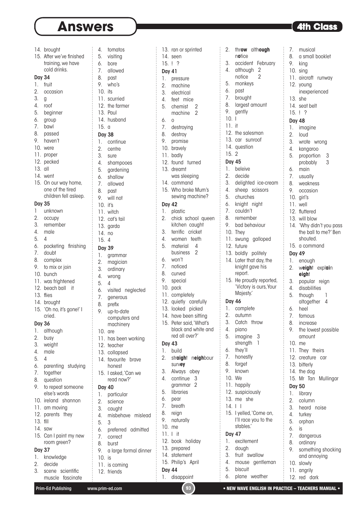|               | 14. brought               | 4.            | tomatos                                               |
|---------------|---------------------------|---------------|-------------------------------------------------------|
|               | 15. After we've finished  | 5.            | visiting                                              |
|               | training, we have         | 6.            | bore                                                  |
|               | cold drinks.              | 7.            | allowed                                               |
| <b>Day 34</b> |                           | 8.            | past                                                  |
| 1.            | fruit                     | 9.            | who's                                                 |
| 2.            | occasion                  | 10.           | its                                                   |
| 3.            | g                         | 11.           | scurried                                              |
| 4.            | roof                      |               | 12. the farmer                                        |
|               | 5. beginner               |               | 13. Paul                                              |
|               | 6. group                  |               | 14. husband                                           |
| 7.            | bawl                      | 15.           | $\alpha$                                              |
| 8.            | passed                    | <b>Day 38</b> |                                                       |
| 9.            | haven't                   | 1.            | continue                                              |
|               | 10. were                  | 2.            | centre                                                |
|               | 11. proper                |               |                                                       |
|               | 12. pecked                |               | 3. sure<br>4. shampooes<br>5. gardening<br>6. shallow |
| 13. all       |                           |               |                                                       |
|               | 14. went                  |               |                                                       |
|               | 15. On our way home,      | 7.            | allowed                                               |
|               | one of the tired          |               | 8. past                                               |
|               | children fell asleep.     | 9.            | will not                                              |
| <b>Day 35</b> |                           | $10.$ it's    |                                                       |
| 1             | unknown                   |               | 11. witch                                             |
|               | 2. occupy                 |               | 12. cat's tail                                        |
| 3.            | remember                  |               | 13. garda                                             |
|               | 4. male                   | 14. no        |                                                       |
| 5.            | 4                         | 15.           | 4                                                     |
|               | 6. pocketing finishing    | <b>Day 39</b> |                                                       |
| 7.            | <br>doubt                 | 1.            |                                                       |
| 8.            | complex                   | 2.            | grammar                                               |
| 9.            | to mix or join            | 3.            | magician<br>ordinary                                  |
|               | 10. bunch                 | 4.            |                                                       |
|               | 11. was frightened        | 5.            | wrong                                                 |
|               | 12. beach ball<br>it      |               | 4                                                     |
|               | 13. flies                 | 7.            | 6. visited<br>neglected                               |
|               | 14. brought               | 8.            | generous<br>prefix                                    |
|               | 15. 'Oh no, it's gone!' I | 9.            | up-to-date                                            |
|               | cried.                    |               | computers and                                         |
| <b>Day 36</b> |                           |               | machinery                                             |
| 1.            | although                  |               | $10.$ are                                             |
| 2.            | busy                      |               | 11. has been working                                  |
| 3.            | weight                    |               | 12. teacher                                           |
| 4.            | male                      |               | 13. collapsed                                         |
| 5.            | 4                         |               | 14. favourite<br>brave                                |
| 6.            | parenting<br>studying     |               | honest                                                |
| 7.            | together                  |               | 15. I asked, `Can we                                  |
| 8.            | question                  |               | read now?'                                            |
| 9.            | to repeat someone         | Day 40        |                                                       |
|               | else's words              | 1.            | particular                                            |
|               | 10. ireland shannon       | 2.            | science                                               |
|               | 11. am moving             | 3.            | caught                                                |
|               | 12. parents they          | 4.            | misbehave mislead                                     |
| 13. fill      |                           | 5.            | 3                                                     |
|               | $14.$ saw                 |               | 6. preferred admitted                                 |
| 15.           | Can I paint my new        | 7.            | correct                                               |
|               | room green?               | 8.            | burst                                                 |
| <b>Day 37</b> |                           | 9.            | a large formal dinner                                 |
| 1.            | knowledge                 | 10.           | is                                                    |
| 2.            | decide                    |               | 11. is coming                                         |
| 3.            | scientific<br>scene       |               | 12. friends                                           |

|         |               | 14. seen                              |
|---------|---------------|---------------------------------------|
|         | 15.           | $\frac{1}{2}$                         |
|         | Day 41        |                                       |
|         | 1.<br>2.      | pressure<br>machine                   |
|         | 3.            | electrical                            |
|         | 4.            | feet mice                             |
|         | 5.            | chemist                               |
|         |               | $\overline{2}$<br>machine             |
|         | 6.            | O                                     |
|         | 7.            | destroying                            |
|         | 8.            | destroy                               |
|         | 9.            | promise                               |
|         | 10.           | bravely                               |
|         | 11.           | badly                                 |
|         | 12.           | found turned                          |
|         | 13.           | dreamt                                |
|         |               | was sleeping                          |
|         | 14.           | command                               |
|         | 15.           | Who broke Mum's                       |
|         |               | sewing machine?                       |
|         | Day 42        |                                       |
|         | 1.            | plastic                               |
|         | 2.            | chick school quee                     |
|         | 3.            | kitchen caught<br>terrific<br>cricket |
|         | 4.            | teeth<br>women                        |
|         | 5.            | material<br>4                         |
|         |               | business<br>2                         |
|         | 6.            | won't                                 |
|         | 7.            | noticed                               |
|         | 8.            | curved                                |
|         | 9.            | special                               |
| cted    | 10.           | pack                                  |
|         | 11.           | completely                            |
|         | 12.           | quietly carefully                     |
|         | 13.           | looked picked                         |
| J       |               | 14. have been sitting                 |
|         |               | 15. Peter said, 'What's               |
|         |               | black and white an                    |
| ing     |               | red all over?'                        |
|         | <b>Day 43</b> |                                       |
|         | 1.<br>2.      | build<br>straight neighbou            |
| e       |               | survey                                |
| e       | 3.            | Always obey                           |
|         | 4.            | continue<br>3                         |
|         |               | $\overline{2}$<br>grammar             |
|         | 5.            | libraries                             |
|         | 6.            | pear                                  |
|         | 7.            | breath                                |
| iislead | 8.            | reign                                 |
|         | 9.            | naturally                             |
| nitted  | 10.           | me                                    |
|         | 11.           | İİ<br>L                               |
|         |               | 12. book holiday                      |
| dinner  |               | 13. prepared                          |
|         |               | 14. statement<br>15. Philip's April   |
|         |               |                                       |
|         | Day 44        |                                       |
|         |               | 1. disappoint                         |

13. ran or sprinted

| d              | 2.<br>throw although                     | 7.<br>musical                                    |
|----------------|------------------------------------------|--------------------------------------------------|
|                | notice<br>3.                             | 8.<br>a small booklet                            |
|                | accident February<br>4.<br>although<br>2 | 9.<br>king<br>10. sing                           |
|                | 2<br>notice                              | 11. aircraft runway                              |
|                | 5.<br>monkeys                            | 12. young                                        |
|                | 6.<br>past                               | inexperienced                                    |
|                | 7.<br>brought                            | 13. she                                          |
|                | largest amount<br>8.                     | 14. seat belt                                    |
|                | 9.<br>gently                             | 15. 1.7                                          |
|                | 10.1                                     | <b>Day 48</b>                                    |
|                | 11. it<br>12. the salesman               | 1.<br>imagine                                    |
|                | 13. car sunroof                          | 2.<br>loud                                       |
|                | 14. question                             | 3.<br>wrote wrong                                |
|                | 15.2                                     | 4.<br>kangaroo<br>5.                             |
|                | Day 45                                   | proportion<br>3<br>probably<br>3                 |
|                | 1.<br>beleive                            | 6. main                                          |
|                | 2.<br>decide                             | 7. usually                                       |
|                | 3.<br>delighted ice-cream                | 8.<br>weakness                                   |
| um's           | 4.<br>sheep scissors                     | 9.<br>occasion                                   |
| ine?           | 5.<br>churches                           | 10. girl's                                       |
|                | 6.<br>knight night                       | 11. well                                         |
|                | 7.<br>couldn't                           | 12. fluttered                                    |
| queen<br>ht    | 8.<br>remember<br>9.                     | 13. will blow                                    |
| ıt.            | bad behaviour<br>10. They                | 14. 'Why didn't you pass<br>the ball to me?' Ben |
| Ì              | 11. swung galloped                       | shouted.                                         |
|                | 12. future                               | 15. a command                                    |
|                | 13. boldly politely                      | Day 49                                           |
|                | 14. Later that day, the                  | 1.<br>enough                                     |
|                | knight gave his<br>report.               | 2.<br>weight explain<br>eight                    |
|                | 15. He proudly reported,                 | 3.<br>popular reign                              |
|                | 'Victory is ours, Your                   | 4.<br>disabilities                               |
|                | Majesty.                                 | 5.<br>1<br>though                                |
| ully           | <b>Day 46</b>                            | altogether<br>4                                  |
| d              | 1.<br>complete<br>2.<br>autumn           | 6.<br>heel                                       |
| ting<br>hat's  | 3.<br>Catch throw                        | 7.<br>famous<br>8.<br>increase                   |
| te and         | 4.<br>piano                              | 9.<br>the lowest possible                        |
|                | 5.<br>imagine<br>3                       | amount                                           |
|                | strength<br>1                            | 10. me                                           |
|                | 6.<br>they'll                            | 11. They theirs                                  |
| <b>th</b> bour | 7.<br>honestly                           | 12. creature car                                 |
|                | 8.<br>forget                             | 13. bitterly                                     |
|                | 9.<br>known                              | 14. the dog                                      |
|                | 10. We<br>11. happily                    | 15. Mr Tan Mullingar                             |
|                | 12. suspiciously                         | <b>Day 50</b>                                    |
|                | 13. me she                               | 1.<br>library<br>2.<br>column                    |
|                | $14. \mid$ $\mid$                        | 3.<br>heard noise                                |
|                | 15. I yelled, 'Come on,                  | 4.<br>turkey                                     |
|                | I'll race you to the                     | 5.<br>orphan                                     |
|                | stables.                                 | 6.<br>is                                         |
|                | Day 47                                   | dangerous<br>7.                                  |
|                | 1. excitement                            | ordinary<br>8.                                   |
|                | 2. dough                                 | 9.<br>something shocking                         |
|                | 3.<br>fruit swallow                      | and annoying                                     |
|                | 4.<br>mouse gentleman                    | 10. slowly                                       |
|                | 5.<br>biscuit                            | 11. angrily                                      |

6. plane weather

shocking ıg 11. angrily 12. red dark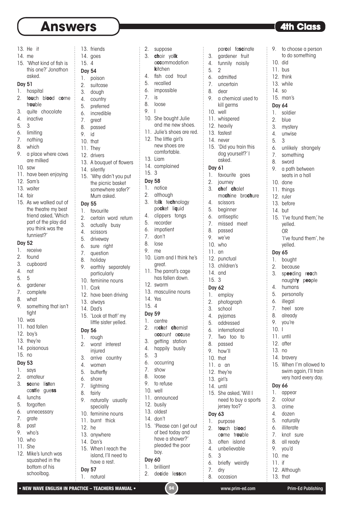# **Answers Exercise 2.1 <b>Answers 4th Class**

13. friends

- 13. He it
- 14. me
- 15. 'What kind of fish is this one?' Jonathon asked.

#### Day 51

#### 1. hospital 2. t**ou**ch bl**oo**d c**o**me

- tr**ou**ble 3. quite chocolate
- 4. inactive
- 5. 3
- 6. limiting
- 7. nothing
- 8. which
- 9. a place where cows
- are milked
- $10.$  saw
- 11. have been enjoying
- 12. Sam's
- 13. waiter
- 14. fair
- 15. As we walked out of the theatre my best friend asked, 'Which part of the play did you think was the funniest?'

#### Day 52

- 1. receive
- 2. found
- 3. cupboard
- 4. not
- 5. 5
- 6. gardener
- 7. complete
- 8. what
- 9. something that isn't tight
- 10. was
- 11. had fallen
- 12. boy's
- 13. they're
- 14. poisonous
- 15. no

### Day 53

- 1. says
- 2. amateur
- 3. **sc**ene li**st**en
- ca**st**le gue**ss** 4. lunchs
- 5. forgotten
- 6. unnecessary
- 7. grate
- 8. past
- 9. who's
- 10. who
- 11. She
- 12. Mike's lunch was squashed in the bottom of his schoolbag.
- 14. goes 15. 4 Day 54 1. poison 2. suitcase 3. dough 4. country 5. preferred 6. incredible 7. great 8. passed 9. id 10. that 11. They 12. drivers 13. A bouquet of flowers 14. silently 15. 'Why didn't you put the picnic basket somewhere safer?' Mum asked. Day 55 1. favourite 2. certain word return 3. actually busy 4. scissors 5. driveway 6. sure right 7. question 8. holiday 9. earthly separately particularly 10. feminine nouns 11. Cork 12. have been driving 13. always 14. Dad's 15. 'Look at that!' my little sister yelled. Day 56 1. rough 2. worst interest injured 3. arrive country 4. women 5. butterfly 6. shore 7. lightning 8. fairly 9. naturally usually specially 10. feminine nouns 11 burnt thick 12. he
- 13. anywhere 14. Dan's
- 15. When I reach the island, I'll need to have a rest.
- Day 57 1. natural

|   | 3.                                                                                                                                                                          | yolk<br>choir                         |
|---|-----------------------------------------------------------------------------------------------------------------------------------------------------------------------------|---------------------------------------|
|   |                                                                                                                                                                             | a <b>cc</b> ommodation                |
|   |                                                                                                                                                                             | kitchen                               |
|   | 4.                                                                                                                                                                          | fish<br>cod<br>trout                  |
|   | 5.                                                                                                                                                                          | recalled                              |
|   | 6.                                                                                                                                                                          | impossible                            |
|   | 7.                                                                                                                                                                          | is                                    |
|   | 8.                                                                                                                                                                          | loose                                 |
|   | 9.                                                                                                                                                                          | I                                     |
|   | 10.                                                                                                                                                                         | She bought Julie                      |
|   |                                                                                                                                                                             | and me new shoes.                     |
|   | 11.                                                                                                                                                                         | Julie's shoes are red.                |
|   | 12.                                                                                                                                                                         | The little girl's                     |
|   |                                                                                                                                                                             | new shoes are                         |
|   |                                                                                                                                                                             | comfortable.                          |
| ì |                                                                                                                                                                             | 13. Liam                              |
|   | 14.                                                                                                                                                                         | complained                            |
|   | 15.                                                                                                                                                                         | 3                                     |
|   | <b>Day 58</b>                                                                                                                                                               |                                       |
|   | 1.                                                                                                                                                                          | notice                                |
|   | 2.                                                                                                                                                                          | although                              |
|   | 3.                                                                                                                                                                          | folk technology                       |
|   |                                                                                                                                                                             | liquid<br>pocket                      |
|   | 4.                                                                                                                                                                          | clippers<br>tongs                     |
|   | 5.                                                                                                                                                                          | recorder                              |
|   | 6.                                                                                                                                                                          | impatient                             |
|   | 7.                                                                                                                                                                          | don't                                 |
|   | 8.                                                                                                                                                                          | lose                                  |
|   | 9.                                                                                                                                                                          | me                                    |
|   | 10.                                                                                                                                                                         | Liam and I think he's                 |
|   |                                                                                                                                                                             | great.                                |
|   | 11.                                                                                                                                                                         | The parrot's cage<br>has fallen down. |
|   |                                                                                                                                                                             |                                       |
|   | 12.                                                                                                                                                                         | swarm<br>13. masculine nouns          |
|   | 14.                                                                                                                                                                         |                                       |
|   |                                                                                                                                                                             | Yes                                   |
|   | 15.                                                                                                                                                                         | 4                                     |
|   | <b>Day 59</b>                                                                                                                                                               |                                       |
|   | 1.                                                                                                                                                                          | centre                                |
|   | 的复数形式的过去式和过去分词 医精神性的 医精神性的 医精神性的 医精神性的 医电脑性的 医电脑性的 医血管切除术 医血管切除术 医皮肤性的 医皮肤性的 医皮肤性的 医皮肤性的 医阿尔特氏征 医阿尔特氏征 医阿尔特氏征 医阿尔特氏征 医阿尔特氏征 医阿尔特氏征 医阿尔特氏征 医阿尔特氏征 医阿尔特氏征 医阿尔特氏征 医阿尔特氏征<br>2. | rocket chemist                        |
|   |                                                                                                                                                                             | account accuse                        |
|   | 3.                                                                                                                                                                          | getting station                       |
|   | 4.                                                                                                                                                                          | happily busily                        |

2. suppose

- 5. 3
- 6. occurring
- 7. show
- 8. loose
- 9. to refuse
- 10. well
- 11. announced 12. busily
- 13. oldest
- 14. don't
- 15. 'Please can I get out of bed today and have a shower?' pleaded the poor boy.

### Day 60

- 1. brilliant
- 2. de**c**ide le**ss**on
- par**c**el fa**sc**inate  $\vdots$ 3. gardener fruit 4. funnily noisily 5. 2 6. admitted 7. uncertain 8. dear 9. a chemical used to kill germs 10. well 11. whispered 12. heavily 13. fastest 14. never 15. 'Did you train this dog yourself?' I asked. Day 61 1. favourite goes 2. journey 3. **ch**ef **ch**alet ma**ch**ine bro**ch**ure 4. scissors 5. beginner 6. antiseptic 7. missed meet 8. passed 9 we've  $10$  who 11. an 12. punctual 13. children's 14. and 15. 3 Day 62 1. employ 2. photograph 3. school 4. pyjamas<br>5. addresse 5. addressed 6. international 7. Two too to 8. passed 9. how'll
- 10. that
- $11.0.0n$
- 12. they're
- 13. girl's
- 14. until
- 15. She asked, 'Will I need to buy a sports jersey too?'

#### Day 63

- 1. purpose 2. t**ou**ch bl**oo**d c**o**me tr**ou**ble 3. often island 4. unbelievable 5. 3
- 6. briefly weirdly 7. dry 8. occasion

11. bus 12. think 13. while 14. so 15. man's Day 64 1. soldier<br>2. blue blue 3. mystery 4. unwise 5. 3 6. unlikely strangely 7. something 8. sword 9. a path between seats in a hall 10. done 11. things 12. ruler 13. before 14. but 15. 'I've found them,' he yelled. OR 'I've found them', he yelled. Day 65 1. bought 2. because 3. sp**ee**ding r**ea**ch naught**y** p**eo**ple 4. humans 5. personally 6. illegal 7. heel sore 8. already

9. to choose a person to do something

10. did

- 9. vou're
- 10. I
- 11. until
- 12. after
- 13. no
- 14. bravery
- 15. When I'm allowed to swim again, I'll train very hard every day.

### Day 66

- 1. appear
- 2. colour
- 3. crime
- 4. dozen
- 5. naturally
- 6. illiterate
- 7. knot sure
- 8. all ready
- 9. you'd
- 10. me
- 11. if
- 12. Although
- 13. that

• NEW WAVE ENGLISH IN PRACTICE – TEACHERS MANUAL • (94) www.prim-ed.com Prim-Ed Publishing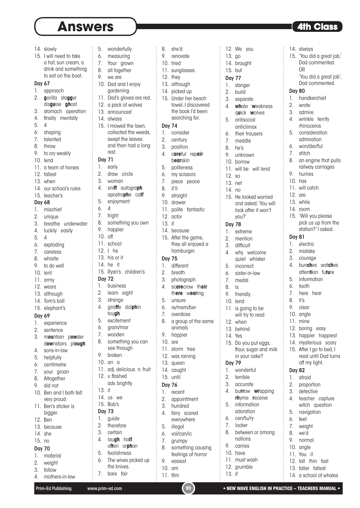## **Answers • The Class Constant Constant Constant Constant Constant Constant Constant Constant Constant Constant Constant Constant Constant Constant Constant Constant Constant Constant Constant Constant Constant Constant Con**

|               | 14. slowly                        |                  | 5. wonderfully                                   |
|---------------|-----------------------------------|------------------|--------------------------------------------------|
|               | 15. I will need to take           |                  | 6. measuring<br>7. Your grown<br>8. all together |
|               | a hat, sun cream, a               |                  |                                                  |
|               | drink and something               |                  |                                                  |
|               | to eat on the boat.               | 9.               | we are                                           |
| Day 67        |                                   |                  | 10. Dad and I enjoy                              |
| 1.            | approach                          |                  | gardening.                                       |
| 2.            | gorilla stagger<br>disguise ghost |                  | 11. Dad's gloves are red                         |
| 3.            | stomach operation                 |                  | 12. a pack of wolves<br>13. announced            |
| 4.            | finally mentally                  |                  | 14. always                                       |
| 5.            | 4                                 |                  | 15. I mowed the lawn,                            |
| 6.            | shaping                           |                  | collected the weeds                              |
| 7.            | talented                          |                  | swept the leaves                                 |
| 8.            | throw                             |                  | and then had a long                              |
| 9.            | to cry weakly                     |                  | rest.                                            |
|               | 10. lend                          | <b>Day 71</b>    |                                                  |
|               | 11. a team of horses              | 1.               | early                                            |
|               | 12. tallest                       | 2.               | draw circle                                      |
|               | 13. when                          | 3.               | woman                                            |
|               | 14. our school's rules            |                  | 4. sniff autograph                               |
|               | 15. teacher's                     |                  | apostrophe calf<br>5. enjoyment                  |
| Day 68<br>1.  | mischief                          | 6.               | 4                                                |
| 2.            | unique                            |                  | 7. fright                                        |
| 3.            | breathe underwater                | 8.               | something you own                                |
| 4.            | luckily easily                    | 9.               | happier                                          |
| 5.            | 4                                 | 10. off          |                                                  |
| 6.            | exploding                         |                  | 11. school                                       |
| 7.            | careless                          |                  | 12. I he                                         |
| 8.            | whistle                           |                  | 13. his or it                                    |
| 9.            | to do well                        |                  | 14. he it                                        |
|               | 10. lent                          |                  | 15. Ryan's children's                            |
|               | 11. army                          | <b>Day 72</b>    |                                                  |
|               | 12. wears                         |                  | 1. business                                      |
|               | 13. although<br>14. Tom's ball    |                  | 2. learn eight<br>3. strange                     |
|               |                                   |                  | 4. giraffe dolphin                               |
|               | 15. elephant's                    |                  | tough                                            |
| Day 69<br>1.  | experience                        | 5.               | excitement                                       |
| 2.            | sentence                          | 6.               | gram/mar                                         |
| 3.            | mountain powder                   | 7.               | wooden                                           |
|               | downstairs plough                 | 8.               | something you can                                |
| 4.            | sons-in-law                       |                  | see through                                      |
| 5.            | helpfully                         | 9.               | broken                                           |
| 6.            | centimetre                        |                  | $10.$ an $a$                                     |
| 7.            | your groan                        |                  | 11. adj. delicious n. frui:<br>12. v. flashed    |
| 8.            | Altogether                        |                  | adv. brightly                                    |
| 9.            | did not                           | 13. it           |                                                  |
|               | 10. Ben and I both felt           |                  | 14. us we                                        |
| 11.           | very proud.<br>Ben's sticker is   |                  | 15. Bob's                                        |
|               | bigger.                           | <b>Day 73</b>    |                                                  |
|               | 12. Ben                           | 1.               | guide                                            |
|               | 13. because                       | 2.               | therefore                                        |
| 14. she       |                                   | $\overline{3}$ . | certain                                          |
| 15. no        |                                   | 4.               | laugh half                                       |
| <b>Day 70</b> |                                   |                  | often orphan                                     |
| 1.            | material                          | 5.               | foolishness                                      |
|               | 2. weight                         | 6.               | The wives picked up                              |
|               | $3$ follow                        |                  | the knives.                                      |

| ა. | TOHOW          |
|----|----------------|
| 4. | mothers-in-law |

12. they 13. although 14. picked up 15. Under her beach towel, I discovered the book I'd been searching for. Day 74 1. consider 2. century 3. position 4. c**are**ful rep**air** b**ear**skin 5. politeness 6. my scissors 7. piece peace 8. it'll 9. straight 10. drawer 11. polite fantastic 12. actor 13. if 14. because 15. After the game, they all enjoyed a hamburger. Day 75 1. different 2. breath 3. photograph 4. sc**are**crow th**eir** th**ere** w**ear**ing 5. unsure 6. re/mem/ber 7. overdose 8. a group of the same animals 9. happier 10. are 11. storm tree 12. was raining 13. queen 14. caught 15. until Day 76 1. recent 2. appointment 3. hundred 4. fairy scared everywhere 5. illegal 6. vol/can/ic 7. grumpy 8. something causing feelings of horror 9. easiest 10. am

11. film

8. she'd 9. renovate 10. tried 11. sunglasses

 $\vdots$ 

13. go 14. brought 15. but Day 77 1. danger 2. build 3. separate 4. **wh**ale **w**eakness q**u**ick **w**olves 5. antisocial anticlimax 6. their trousers 7. meddle 8. he's 9. unknown 10. borrow 11. will be will lend 12. so 13. net 14. no 15. He looked worried and asked, 'You will look after it won't you?' Day 78 1. extreme 2. mention 3. difficult 4. why welcome quiet whisker 5. incorrect 6. sister-in-law 7. medal 8. is 9. friendly 10. lend 11. is going to be will try to read 12. when 13. behind 14. Yes 15. Do you put eggs, flour, sugar and milk in your cake? Day 79 1. wonderful 2. terrible 3. accurate 4. bu**rr**ow **wr**apping **rh**yme **r**eceive 5. information adoration 6. cen/tu/ry 7. locker 8. between or among nations 9. carries 10. have 11. must wash 6. won/der/ful 7. stitch 10. has 11. will catch 12. are 13. while 14. room Day 81 8. it's 1. afraid 2. proportion 3. detective 4. teacher capture witch question 5. navigation 6. feet 7. weight 8. we'd 9. normal 10. angle 11. You it 12. tall thin fast 13. taller tallest

12. We you

- 14. always
- 15. 'You did a great job,' Dad commented. OR 'You did a great job', Dad commented.

#### Day 80

- 1. handkerchief
- 2. wrote
- 3. admire
- 4. wrinkle terrify rhinoceros
- 5. consideration admiration
- 
- 
- 8. an engine that pulls railway carriages
- 9. hurries
- 
- 
- 
- 
- 15. 'Will you please pick us up from the station?' I asked.
- 1. electric
- 2. mistake
- 3. courage
- 4. bun**ch**es wat**ch**es atten**ti**on fu**tu**re
- 5. information
- 6. tooth
- 7. here hear
- 
- 9. clear
- 10. angle
- 
- 
- 
- 
- 15. After I go to bed, I read until Dad turns off my light.

14. a school of whales

### Day 82

- 
- 
- 
- 
- -
- 
- 
- 
- 
- 
- 11. mine
- 12. boring easy
- 13. happier happiest
- 14. mysterious scary
	-

- 12. grumble
- 13. if

e knives. 7. bare fair

- 
- 3. follow

- 2. sentence 4. sons-in-law 5. helpfully 6. centimetre 7. your groan 8. Altogether 9. did not
- 

- 
- 
- 
- 
- 
- 
- 
-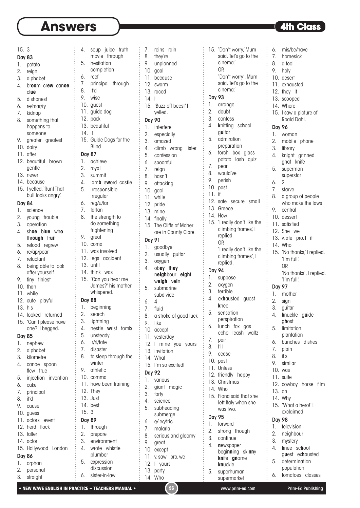### 15. 3

#### Day 83

- 1. potato
- 2. reign
- 3. alphabet
- 4. br**oo**m cr**ew** can**oe** cl**ue**
- 5. dishonest
- 6. re/mar/ry
- 7. kidnap
- 8. something that happens to someone
- 9. greater greatest
- 10. dairy
- 11. after
- 12. beautiful brown gentle
- 13. never
- 14. because
- 15. I yelled, 'Run! That bull looks anary.

#### Day 84

- 1. science
- 2. young trouble
- 3. operation
- 4. sh**oe** bl**ue** wh**o** thr**ough** fr**ui**t
- 5. reload regrew
- 6. re/ap/pear
- 7. reluctant
- 8. being able to look after yourself
- 9. tiny tiniest
- 10. than
- 11. while
- 12. cute playful 13. his
- 
- 14. looked returned 15. 'Can I please have one?' I begged.

### Day 85

- 1. nephew
- 2. alphabet
- 3. kilometre
- 4. canoe spoon flew true
- 5. injection invention
- 6. cake
- 7. principal
- 8. it'd
- 9. cause
- 10. guess
- 11. actors event 12. herd flock
- 13. taller
- 14. actor
- 

## 15. Hollywood London

## Day 86

- 1. orphan 2. personal
- 3. straight
- 5. hesitation completion 6. reef
	- 7. principal through

4. soup juice truth movie through

7. reins rain 8. they're 9. unplanned 10. goal 11. because 12. swarm 13. raced 14. I

15. 'Don't worry,' Mum said,'let's go to the

> 'Don't worry', Mum said,'let's go to the

6. mis/be/have 7. homesick 8. a tool 9. holy 10. desert 11. exhausted 12. they it 13. scooped 14. Where

 $\vdots$ 

15. I saw a picture of Roald Dahl.

4. knight grinned gnat knife 5. superman superstar

8. a group of people who make the laws

15. 'No thanks,' I replied, 'I'm full.' OR

'I'm full.'

4. **k**nuckle g**u**ide g**h**ost 5. limitation plantation 6. bunches dishes

12. cowboy horse film

15. 'What a hero!' I exclaimed.

 'No thanks', I replied,

Day 96 1. woman 2. mobile phone 3. library

6. 2 7. starve

9. central 10. dessert 11. satisfied 12. She we 13. v. ate pro. I it

14. Who

Day 97 1. mother 2. sign 3. guitar

7. plain 8. it's 9. similar 10. was 11. suite

13. on 14. Why

Day 98 1. television 2. neighbour 3. mystery 4. **k**nee sc**h**ool g**u**est ex**h**austed 5. determination population 6. tomatoes classes

cinema.' OR

cinema.'

Day 93 1. arrange 2. doubt 3. confess 4. **k**nitting sc**h**ool g**u**itar 5. admiration preparation 6. torch box glass potato lash quiz

7. pear 8. would've 9. perish 10. past 11. if

13. Greece 14. How

> replied. OR

replied.

4. ex**h**austed g**u**est **k**nee 5. sensation perspiration 6. lunch fox gas echo leash waltz

15. Fiona said that she left Italy when she

begi**nn**ing ski**nn**y **kn**ife **gn**ome **kn**uckle 5. superhuman supermarket

was two.

Day 95 1. forward 2. strong though 3. continue 4. **n**ewspaper

Day 94 1. suppose 2. oxygen 3. terrible

7. pair 8. I'll 9. cease 10. past 11. Unless 12. friendly happy 13. Christmas 14. Who

12. safe secure small

15. I really don't like the climbing frames,' I

> 'I really don't like the climbing frames', I

15. 'Buzz off bees!' I yelled. Day 90 1. interfere 2. especially 3. amazed

4. climb wrong lister 5. confession 6. spoonful 7. reign 8. hasn't 9. attacking 10. gaol 11. while 12. pride 13. mine 14. finally

15. The Cliffs of Moher are in County Clare.

n**eigh**bour **eigh**t w**eigh** v**ei**n 5. submarine subdivide

8. a stroke of good luck

12. I mine you yours

Day 91 1. goodbye 2. usually guitar 3. oxygen 4. ob**ey** th**ey**

6. 4 7. fluid

9. like 10. accept 11. yesterday

Day 92 1. various 2. giant magic 3. forty 4. science 5. subheading submerge 6. e/lec/tric 7. malaria

13. invitation 14. What

15. I'm so excited!

- 8. it'd 9. wise
- 10. guest
- 11. guide dog
- 12. pack
- 13. beautiful
- $14$  if 15. Guide Dogs for the
- **Blind**

### Day 87

- 1. achieve
- 2. royal
- 3. summit
- 4. lam**b** s**w**ord cas**t**le
- 5. irresponsible
- irregular
- 6. reg/u/lar
- 7. tartan 8. the strength to do something
- frightening 9. great
- 10. coma
- 11. was involved
- 12. legs accident
- 13. until
- 14. think was
- 15. 'Can you hear me James?' his mother whispered.

#### Day 88

- 1. beginning
- 2. search
- 3. lightning
	- 4. nes**t**le **w**rist tom**b**
- 5. unsteady
- 6. ir/ri/tate
- 7. disaster
- 8. to sleep through the winter
- 9. athletic
- 10. comma
- 11. have been training
- 12. They 13. Just
- 14. best
- 15. 3

### Day 89

- 1. through
- 2. prepare
- 3. environment 4. wrote whistle
- plumber
- 5. expression discussion

6. sister-in-law

- 12. I yours
	- 13. party 14. Who

9. great 10. except 11. v. saw pro. we

• NEW WAVE ENGLISH IN PRACTICE – TEACHERS MANUAL • (96) www.prim-ed.com Prim-Ed Publishing

8. serious and gloomy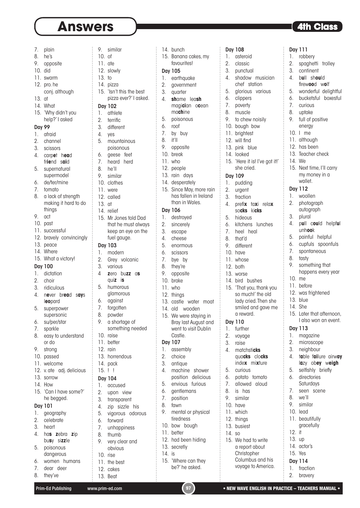# **Answers • The Class Constant Constant Constant Constant Constant Constant Constant Constant Constant Constant Constant Constant Constant Constant Constant Constant Constant Constant Constant Constant Constant Constant Con**

2. spaghetti trolley 3. continent 4. b**u**ll sh**ou**ld firew**oo**d w**o**lf 5. wonderful delightful 6. bucketsful boxesful

Day 111 1. robbery

7. curious 8. uptake 9. full of positive energy 10. I me 11. although 12. has been 13. Teacher check

14. We

15. Next time, I'll carry my money in a wallet. Day 112 1. woollen 2. photograph autograph 3. plural

4. p**u**ll c**ou**ld helpf**u**l unh**oo**k 5. painful helpful 6. cupfuls spoonfuls 7. spontaneous 8. tasty

9. something that happens every year

| 7.                     | plain                                      |
|------------------------|--------------------------------------------|
| 8.                     | he's                                       |
| 9.                     | opposite                                   |
| 10.                    | did                                        |
| 11.                    | swarm                                      |
| 12.                    | pro. he                                    |
|                        | conj. although                             |
| 13.                    | at                                         |
| 14.                    | What                                       |
| 15.                    | 'Why didn't you                            |
|                        | help?' I asked                             |
| <b>Day 99</b>          |                                            |
| 1.                     | afraid                                     |
| 2.                     | channel                                    |
| 3.                     | scissors                                   |
| 4.                     | carpet head                                |
|                        | friend said                                |
| 5.                     | supernatural                               |
|                        | supermodel                                 |
| 6.<br>7.               | de/ter/mine                                |
| 8.                     | tomato                                     |
|                        | a lack of strength<br>making it hard to do |
|                        | things                                     |
| 9.                     | act                                        |
| 10.                    | past                                       |
| 11.                    | successful                                 |
| 12.                    | bravely convincingly                       |
| 13.                    | peace                                      |
| 14.                    |                                            |
|                        |                                            |
|                        | Where                                      |
| 15.                    | What a victory!                            |
|                        | Day 100                                    |
| 1.                     | dictation                                  |
| 2.                     | choir                                      |
| 3.                     | ridiculous                                 |
| 4.                     | never bread says                           |
|                        | leopard                                    |
| 5.                     | superpower                                 |
|                        | supersonic                                 |
| 6.                     | su/per/star                                |
| 7.                     | sparkle                                    |
| 8.                     | easy to understand<br>or do                |
|                        |                                            |
| 9.                     | strong                                     |
| 10.                    | passed                                     |
| 11.<br>12.             | welcome                                    |
|                        | v. ate adj. delicious<br>sorrow            |
| 13.<br>14.             | How                                        |
| 15.                    |                                            |
|                        | 'Can I have some?'                         |
|                        | he begged.                                 |
| 1.                     | Day 101                                    |
|                        | geography<br>celebrate                     |
| $\overline{2}$ .<br>3. | heart                                      |
| 4.                     | has zebra zip                              |
|                        | busy sizzle                                |
| 5.                     | poisonous                                  |
|                        | dangerous                                  |
| 6.                     | women humans<br>7. dear deer               |

8. they've

- 9. similar 10. of 11. ate 12. slowly 13. to 14. pizza Day 102 2. terrific 4. yes 8. he'll 9. similar 11. were 12. called 13. at 14. relief Day 103
	- 6. against 7. forgotten 8. powder 10. raise 11. better 12. rain 14. pack 15. ! ! Day 104
	- 3. transparent 6. forward 7. unhappiness 8. thumb
		- 9. very clear and obvious 10. rise
	- 11. the best
		- 12. cakes 13. Beat

15. 'Isn't this the best pizza ever?' I asked. 1. athlete 3. different 5. mountainous poisonous 6. geese feet 7. heard herd 10. clothes 15. Mr Jones told Dad that he must always keep an eye on the fuel gauge. 1. modern 2. Grey volcanic

- 3. various 4 **z**ero bu**zz** a**s** qui**z** i**s** 5. humorous
	- glamorous
- 
- 9. a shortage of
	- something needed
	-
- 
- 13. horrendous
- 
- 1. accused
- 2. upon view
	-
- 4. zip sizzle his
- 5. vigorous odorous
	-
	-
	- -
- 15. 'Where can they be?' he asked.

12. had been hiding 13. secretly 14. is

| Day 108 |  |
|---------|--|

1. asteroid

14. bunch

Day 105 1. earthquake 2. government 3. quarter 4. **sh**ame lea**sh** magi**ci**an o**c**ean ma**ch**ine 5. poisonous 6. roof 7. by buy 8. it'll 9. opposite 10. break 11. who 12. people 13. rain days 14. desperately

15. Banana cakes, my favourites!

15. Since May, more rain has fallen in Ireland than in Wales.

13. castle water moat 14. old wooden 15. We were staying in Bray last August and went to visit Dublin

Castle. Day 107 1. assembly 2. choice 3. antique

4. machine shower position delicious 5. envious furious 6. gentlemans 7. position 8. fawn

9. mental or physical tiredness 10. bow bough 11. better

Day 106 1. destroyed 2. sincerely 3. escape 4. cheese 5. enormous 6. scissors 7. bye by 8. they're 9. opposite 10. brake 11. who 12. things

- 2. classic
- 3. punctual
- 4. shadow musician chef station
- 5. glorious various
- 6. clippers
- 7. poverty
- 8. muscle
- 9. to chew noisily
- 10. bough bow
- 11. brightest
- 12. will find
- 13. pink blue
- 14. looked
- 15. 'Here it is! I've got it!' she cried.

#### Day 109

- 1. pudding
- 2. urgent
- 3. fraction 4. prefi**x** ta**x**i rela**x** so**cks** ki**cks**

## 5. hideous

- 6. kitchens lunches
- 7. heel heal
- 8. that'd
- 9. different
- 10. have
- 11. whose
- 12. both
- 13. worse
- 14. bird bushes
- 15. 'That you, thank you so much!' the old lady cried. Then she smiled and gave me a reward.

### Day 110

- 1. further
- 2. voyage
- 3. raise
- 
- 4. matchsti**cks** qua**cks** clo**cks** inde**x** mi**x**ture
- 5. curious
- 6. potato tomato
- 7. allowed aloud 8. is has
- 9. similar
- 10. have
- 11. which
- 12. things
- 13. busiest
- 14. so
- 15. We had to write a report about **Christopher** Columbus and his voyage to America.
- Day 114 1. fraction
	- 2. bravery

1. magazine 2. microscope

Day 113

10. me 11. before 12. was frightened

13. blue 14. She

- 3. neighbour
- 4. t**a**ble f**ai**lure airw**ay** l**a**zy ob**ey** w**eigh**

15. Later that afternoon, I also won an event.

- 5. selfishly briefly 6. directories
	- **Saturdays**
- 7. seen scene
- 8. we'll
- 9. similar 10. lead
- 11. beautifully
- gracefully
- 
- 12. it
- 13. up
- 14. actor's
- 15. Yes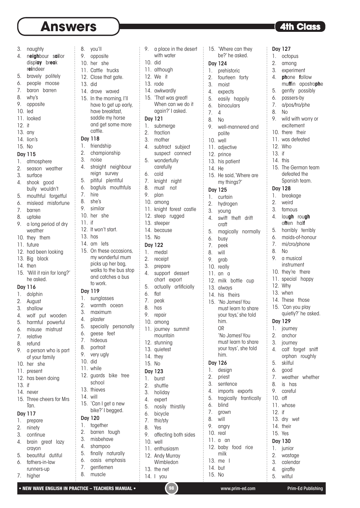8. you'll

| 3. | naughty |
|----|---------|
|    |         |

- 4. n**eigh**bour s**ai**lor displ**ay** br**ea**k
- r**ei**ndeer 5. bravely politely
- 6. people moose
- 7. baron barren
- 8. why's
- 9. opposite
- 10. led
- 11. looked
- 12. it
- 13. any
- 14. lion's
- 15. No

#### Day 115

- 1. atmosphere
- 2. season weather
- 3. surface
- 4. shook good bully wouldn't
- 5. mouthful forgetful
- 6. mislead misfortune
- 7. barren
- 8. uptake
- 9. a long period of dry weather
- 10. they them
- 11. future
- 12. had been looking
- 13. Big black
- 14. then
- 15. 'Will it rain for long?' he asked.

### Day 116

- 1. dolphin
- 2. August
- 3. shallow
- 4. wolf put wooden
- 5. harmful powerful
- 6. misuse mistrust
- 7. relative
- 8. refund 9. a person who is part
- of your family
- 10. her she 11. present
- 12. has been doing
- 13. if
- 14. never
- 15. Three cheers for Mrs Tan.

### Day 117

- 1. prepare
- 2. ninety
- 3. continue
- 4. brain great lazy crayon
- 5. beautiful dutiful
- 6. fathers-in-law runners-up
- 7. higher
- 9. opposite 10. her she 11. Cattle trucks 12. Close that gate. 13. did 14. drove waved 15. In the morning, I'll have to get up early, have breakfast, saddle my horse and get some more cattle. Day 118 1. friendship 2. championship 3. noise 4. straight neighbour reign survey 5. pitiful plentiful 6. bagfuls mouthfuls 7. hire 8. she's 9. similar 10. her she 11. if 12. It won't start. 13. has 14. am lets 15. On these occasions, picks up her bag, and catches a bus to work. Day 119 1. sunglasses 2. warmth ocean 3. maximum 4. plaster 5. specially personally 6. geese feet 7. hideous 8. portrait 9. very ugly 10. did 11. while 12. guards bike tree school 13. thieves 14. will 15. 'Can I get a new bike?' I begged. Day 120 1. together
	-
	- my wonderful mum
	- walks to the bus stop
	-
	-
- 
- 
- - -
		- 2. barren tough 3. misbehave
	- 4. shampoo
- 5. finally naturally
	- 6. oasis emphasis
	- 7. gentlemen
	- 8. muscle

9. a place in the desert with water 10. did 11. although 12. We it 13. rode 14. awkwardly 15. 'That was great! When can we do it again?' I asked. Day 121 1. submerge 2. fraction 3. mother 4. subtract subject suspect connect 5. wonderfully carefully 6. cold 7. knight night 8. must not 9. plan 10. among 11. knight forest castle 12. steep rugged 13. steeper 14. because 15. No Day 122 1. medal

15. 'Where can they be?' he asked.

Day 127 1. octopus 2. among 3. experiment 4. **ph**one **f**ollow

 $\vdots$ 

8. No

Day 128 1. breakage 2. weird 3. famous 4. lau**gh** rou**gh** o**ft**en hal**f** 5. horribly terribly 6. maids-of-honour 7. mi/cro/phone

8. No 9. a musical instrument 10. they're there 11. special happy

12. Why 13. when 14. These those 15. 'Can you play quietly?' he asked.

Day 129 1. journey 2. anchor 3. journey

5. skilful 6. good

8. is has 9. careful 10. off 11. whose 12. if 13. dry wet 14. their 15. Yes Day 130 1. junior 2. wastage 3. calendar 4. giraffe 5. wilful

4. calf forget sniff orphan roughly

7. weather whether

mu**ff**in apostro**ph**e 5. gently possibly 6. passers-by 7. a/pos/tro/phe

9. wild with worry or excitement 10. there their 11. was defeated 12. Who 13. if 14. this

15. The German team defeated the Spanish team.

9. well-mannered and polite 10. well 11. adjective 12. prince 13. his patient 14. He

15. He said, 'Where are my things?'

4. swift theft drift craft

5. magically normally

12. milk bottle cup

'No James! You must learn to share your toys', she told

Day 125 1. curtain 2. hydrogen 3. young

6. busy 7. peek 8. will 9. grab 10. really 11. an a

13. always 14. his theirs 15. 'No James! You must learn to share your toys,' she told

> him. OR

him. Day 126 1. design 2. priest 3. sentence 4. imports exports 5. tragically frantically

6. blind 7. grown 8. will 9. angry 10. real 11. a an

12. baby food rice milk 13. me I 14. but 15. No

Day 124 1. prehistoric 2. fourteen forty 3. moist 4. expects 5. easily happily 6. binoculars 7. 4 8. No

- 2. receipt
- 3. prepare
- 
- 4. support dessert
- chart export 5. actually artificially

11. journey summit mountain 12. stunning 13. quietest 14. they 15. No Day 123 1. burst 2. shuttle 3. holiday 4. expert 5. nosily thirstily 6. bicycle 7. thir/sty 8. Yes

• NEW WAVE ENGLISH IN PRACTICE – TEACHERS MANUAL • (98 ) www.prim-ed.com Prim-Ed Publishing

9. affecting both sides

10. well 11. enthusiasm 12. Andy Murray Wimbledon

13. the net 14. I you

- 6. flat
- 7. peak
- 8. has
- 9. repair

10. among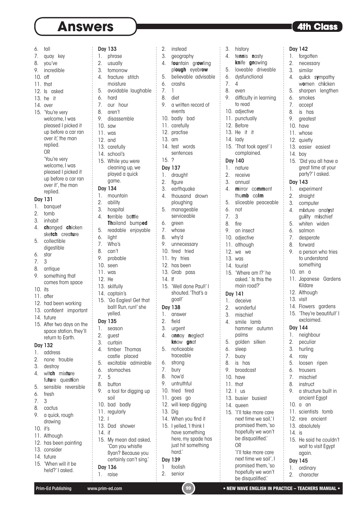- 6. tall 7. auav key 8. you've 9. incredible 10. off 11. that 12. Is asked 13. he it 14. over 15. 'You're very welcome, I was pleased I picked it up before a car ran over it' the man replied. OR 'You're very welcome, I was pleased I picked it up before a car ran over it', the man replied. Day 131 1. banquet 2. tomb 3. inhabit 4. **ch**anged **ch**icken ske**tch** crea**tu**re 5. collectible digestible 6. star 7. 3 8. antique 9. something that comes from space 10. its 11. after 12. had been working 13. confident important 14. future return to Earth. 2. none trouble 4. wit**ch** mix**tu**re 5. sensible reversible 6. fresh
- 
- 
- 9. a quick, rough drawing
- 10. it's
- 11. Although
- 12. has been painting
- 13. consider
- 
- held?' I asked.
- Day 133 1. phrase 2. usually 3. tomorrow 4. fracture stitch moisture 5. avoidable laughable 6. hard 7. our hour 8. aren't 9. disassemble 10. saw 11. was 12. and 13. carefully 14. school's 15. While you were cleaning up, we played a quick game. Day 134 1. mountain 2. ability 3. hospital 4. **t**errible ba**tt**le **Th**ailand bump**ed** 5. readable enjoyable 6. light 7. Who's 8. can't 9. probable 10. seen 11. was 12. He 13. skilfully 14. captain's 15. 'Go Eagles! Get that ball! Run, run!' she yelled. Day 135 1. season 2. guest 3. curtain 4. timber Thomas castle placed 5. excitable admirable 6. stomaches 7. 5 8. button 9. a tool for digging up soil
- 
- 
- 
- 15. After two days on the space station, they'll
- Day 132
- 1. address
- 
- 3. destroy
- 
- fu**tu**re ques**ti**on
- 
- 
- 7. 3
- 8. cactus
- 
- 
- 
- 
- 
- 
- 
- 14. future
- 15. 'When will it be
	-

### Day 138

1. answer

14. If

- 2. field
	- 3. urgent

goal!'

4. a**nn**oy **n**eglect **kn**ow **gn**at

15. 'Well done Paul!' I shouted.'That's a

- 5. noticeable
- traceable
- 6. strong
- 7. bury 8. how'd
- 
- 9. untruthful
- 10. tried tired
- 11. goes go

hard.'

2. senior

12. will keep digging

have something here, my spade has just hit something

Prim-Ed Publishing www.prim-ed.com **199 • NEW WAVE ENGLISH IN PRACTICE – TEACHERS MANUAL** 

- 13. Dig
- 14. When you find it 15. I yelled, 'I think I
- 13. Dad shower 15. My mean dad asked,
	- 'Can you whistle Ryan? Because you
	- certainly can't sing.' Day 139 1 foolish
- Day 136 1. raise

10. bad badly 11. regularly 12. I

14. if

2. instead 3. geography 4. f**ou**ntain gr**ow**ling pl**ough** eyebr**ow** 5. believable advisable

6. crashs 7. 1 8. diet

15. ? Day 137 1. draught 2. figure 3. earthquake 4. thousand drown ploughing 5. manageable serviceable

6. green 7. whose 8. why'd 9. unnecessary 10. tired tried 11. try tries 12. has been 13. Grab pass

9. a written record of events 10. badly bad 11. carefully 12. practise 13. am 14. test words sentences

3. history 4. te**nn**is **n**asty **kn**ife **gn**awing 5. loveable driveable 6. dysfunctional

7. 4 8. even

9. difficulty in learning to read 10. adjective 11. punctually 12. Before 13. He it it 14. lady

Day 142 1. forgotten 2. necessary 3. similar

6. smokes 7. accept 8. is has 9. areatest 10. have 11. whose 12. quietly 13. easier easiest

14. boy

Day 143 1. experiment 2. straight 3. computer 4. m**i**xture anal**y**st gu**i**lty m**i**schief 5. whiten widen 6. salmon 7. desperate 8. forward

15. 'Did you all have a great time at your party?' I asked.

9. a person who tries to understand something 10. an a

11. Japanese Gardens Kildare 12. Although 13. visit

14. Flowers gardens 15. 'They're beautiful!' I exclaimed.

5. loosen ripen 6. trousers 7. mischief 8. instruct

9. a structure built in ancient Egypt

11. scientists tomb 12. rare ancient 13. absolutely  $14$  is

15. He said he couldn't wait to visit Egypt

again. Day 145 1. ordinary 2. character

10. a an

Day 144 1. neighbour 2. peculiar 3. hurling 4. rosy

4. qu**i**ck s**y**mpathy w**o**men ch**i**cken 5. sharpen lengthen

15. 'That took ages!' I complained.

4. **m**irror co**mm**ent thu**mb** ca**lm** 5. sliceable peaceable

15. 'Where am I?' he asked. ' Is this the main road?'

hammer autumn

palms 5. golden silken 6. sleep 7. buoy 8. is has 9. broadcast 10. have 11. that 12. I us

13. busier busiest 14. queen

OR

15. 'I'll take more care next time we sail.'I promised them, 'so hopefully we won't be disqualified.'

> 'I'll take more care next time we sail', I promised them, 'so hopefully we won't be disqualified.'

Day 140 1. nature 2. receive 3. annual

6. not 7. 3 8. fire 9. an insect 10. adjective 11. although 12. we we 13. was 14. tourist

Day 141 1. deceive 2. wonderful 3. mischief 4. smile lamb

- 
- -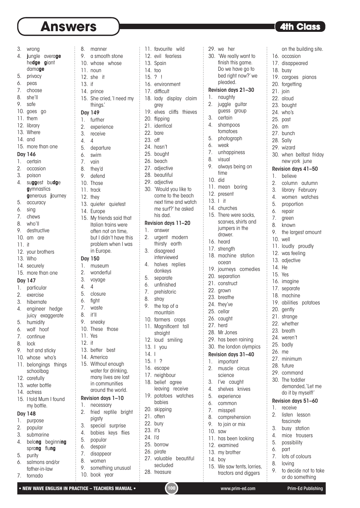# **Answers • The Class Constant Constant Constant Constant Constant Constant Constant Constant Constant Constant Constant Constant Constant Constant Constant Constant Constant Constant Constant Constant Constant Constant Con**

- 3. wrong
- 4. **j**ungle avera**ge**
- he**dge g**iant
- dama**ge**
- 5. privacy
- 6. peas
- 7. choose
- 8. she'll
- 9. safe
- 10. goes go
- 11. them
- 12. library
- 13. Where
- 14. and
- 15. more than one

#### Day 146

- 1. certain
- 2. occasion
- 3. poison
- 4. su**gg**est bu**dg**e **g**ymnastics **g**enerous **j**ourney
- 5. accuracy
- 6. sing
- 7. chews
- 8. who'll
- 9. destructive
- 10. am are
- 11. it
- 
- 12. your brothers 13. Who
- 
- 14. securely
- 15. more than one

### Day 147

- 1. particular
- 2. exercise
- 3. hibernate
- 4. engineer hedge juicy exaggerate
- 5. humidity
- 6. wolf hoof
- 7. continue
- 8. lock
- 9. hot and sticky
- 10. whose who's
- 11. belongings things schoolbag
- 12. carefully
- 13. water bottle
- 14. actress
- 15. I told Mum I found my bottle.

#### Day 148

- 1. purpose
- 2. popular
- 3. submarine
- 4. belo**ng** beginni**ng** spra**ng** flu**ng**
- 5. purity
- 6. salmons and/or
- father-in-law
- 7. tornado

8. manner 9. a smooth stone 10. whose whose 11. noun 12. she it 13. if 14. prince 15. She cried, 'I need my things.' Day 149 1. further 2. experience 3. receive 4. 4 5. departure 6. swim 7. vain 8. they'd 9. defend 10. Those 11. track 12. they 13. quieter quietest 14. Europe 15. My friends said that Italian trains were often not on time, in Europe. Day 150 1. museum 2. wonderful 3. voyage 4. 4 5. closure 6. fight 7. waste 8. it'll 9. sneaky 10. These those 11. Yes 12. it 13. better best 14. America 15. Without enough water for drinking, many lives are lost in communities around the world. Revision days 1–10 1. necessary

but I didn't have this problem when I was 2. fried reptile bright 3. special surprise 4. babies keys flies 5. popular 6. despair 7. disappear

pigsty

9. something unusual

28. treasure

10. book year

| 11.     | favourite wild           |
|---------|--------------------------|
|         | 12. evil fearless        |
|         | 13. Spain                |
| 14. too |                          |
| 15.?    | ļ                        |
|         | 16. environment          |
|         | 17. difficult            |
|         |                          |
|         | 18. lady display claim   |
|         | grey                     |
| 19.     | cliffs thieves<br>elves  |
|         | 20. flipping             |
|         | 21. identical            |
|         | 22. bare                 |
| 23. off |                          |
|         | 24. hasn't               |
|         | 25. bought               |
|         | 26. beach                |
|         | 27. adjective            |
|         | 28. beautiful            |
|         | 29. adjective            |
| 30.     | 'Would you like to       |
|         | come to the beach        |
|         | next time and watch      |
|         | me surf?' he asked       |
|         | his dad.                 |
|         | Revision days 11-20      |
| 1.      | answer                   |
| 2.      | urgent modern            |
|         |                          |
|         | thirsty earth            |
| 3.      | disagreed<br>interviewed |
| 4.      | halves replies           |
|         | donkeys                  |
| 5.      |                          |
| 6.      | separate<br>unfinished   |
|         |                          |
| 7.      | prehistoric              |
| 8.      | stray                    |
| 9.      | the top of a             |
|         | mountain                 |
| 10.     | farmers crops            |
| 11.     | Magnificent tall         |
|         | straight                 |
| 12.     | loud smiling             |
| 13.     | you<br>I                 |
| 14.     | I                        |
| 15.     | ļ<br>?                   |
|         | 16. escape               |
|         | 17. neighbour            |
| 18.     | belief agree             |
|         | leaving receive          |
| 19.     | potatoes watches         |
|         | babies                   |
| 20.     | skipping                 |
| 21.     | often                    |
| 22.     | bury                     |
| 23.     | it's                     |
| 24.     | ľd                       |
|         |                          |
|         | 25. borrow<br>26. pirate |
|         |                          |
| 27.     | valuable beautiful       |
|         | secluded                 |

|          | 29. we her                            |                  |
|----------|---------------------------------------|------------------|
| 30.      | 'We really want to                    | 16.              |
|          | finish this game.                     | 17.              |
|          | Do we have go to                      | 18.              |
|          | bed right now?' we                    | 19.              |
|          | pleaded.                              | 20.              |
|          | Revision days 21-30                   | 21.              |
| 1.       | naughty                               | 22.              |
| 2.       | juggle guitar                         | 23.              |
| 3.       | guess group<br>certain                | 24.              |
| 4.       | shampoos                              | 25.              |
|          | tomatoes                              | 26.              |
| 5.       | photograph                            | 27.              |
| 6.       | weak                                  | 28.              |
| 7.       | unhappiness                           | 29.<br>30.       |
| 8.       | visual                                |                  |
| 9.       | always being on                       | Revi             |
|          | time                                  | 1.               |
| 10. did  |                                       | $\overline{2}$ . |
|          | 11. mean<br>boring                    | 3.               |
|          | 12. present                           | $\overline{4}$ . |
| 13.1     | it                                    | 5.               |
|          | 14. churches                          | 6.               |
| 15.      | There were socks,                     | 7.               |
|          | scarves, shirts and<br>jumpers in the | 8.               |
|          | drawer.                               | 9.               |
|          | 16. heard                             | 10.              |
|          | 17. strength                          | 11.              |
|          | 18. machine station                   | 12.              |
|          | ocean                                 | 13.              |
|          | 19. journeys comedies                 | 14.              |
|          | 20. separation                        | 15.              |
|          | 21. construct                         | 16.              |
|          | 22. grown                             | 17.              |
|          | 23. breathe                           | 18.              |
|          | 24. they've                           | 19.<br>20.       |
| 25.      | cellar                                | 21.              |
|          | 26. caught                            | 22.              |
|          | 27. herd                              | 23.              |
|          | 28. Mr Jones                          | 24.              |
|          | 29. has been raining                  | 25.              |
|          | 30. the london olympics               | 26.              |
|          | Revision days 31-40                   | 27.              |
| 1.<br>2. | important<br>muscle circus            | 28.              |
|          | science                               | 29.              |
| 3.       | I've caught                           | 30.              |
| 4.       | shelves knives                        |                  |
| 5.       | experience                            |                  |
| 6.       | common                                | Revi             |
| 7.       | misspell                              | 1.               |
| 8.       | comprehension                         | 2.               |
| 9.       | to join or mix                        |                  |
| 10.      | saw                                   | 3.               |
|          | 11. has been looking                  | 4.<br>5.         |
|          | 12. examined                          | 6.               |
|          | 13. my brother                        |                  |

- 14. boy
- 15. We saw tents, lorries,
	- tractors and diggers

on the building site. occasion disappeared busy cargoes pianos forgetting ioin aloud bought who's past am bunch Sally wizard when belfast friday new york june sion days 41–50 1. believe 2. column autumn library February women watches proportion repair green known the largest amount well loudly proudly was feeling adjective 14. He Yes imagine separate machine abilities potatoes gently strange whether breath weren't badly me minimum future command The toddler demanded, 'Let me do it by myself!' sion days 51–60 receive listen lesson fascinate busy station

- mice trousers
- possibility
- part
- 7. lots of colours
- 8. loving
- 9. to decide not to take or do something

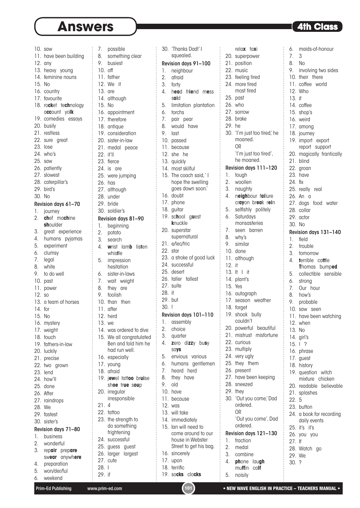# **Answers**

|        | 10. saw                |        |                                          |
|--------|------------------------|--------|------------------------------------------|
|        |                        |        | 7. possible<br>8. somethir<br>9. busiest |
|        | 11. have been building |        | something clear                          |
|        | $12.$ any              |        |                                          |
|        | 13. heavy young        |        | 10. off                                  |
|        | 14. feminine nouns     |        | 11. father                               |
|        |                        |        |                                          |
|        | 15. No                 |        | 12. We it                                |
|        | 16. country            |        | 13. are                                  |
|        | 17. favourite          |        |                                          |
|        |                        |        | 14. although                             |
|        | 18. rocket technology  |        | 15. No                                   |
|        | account yolk           |        | 16. appointment                          |
|        | 19. comedies essays    |        | 17. therefore                            |
|        |                        |        |                                          |
|        | 20. busily             |        | 18. antique                              |
|        | 21. restless           |        | 19. consideration                        |
|        | 22. sure great         |        | 20. sister-in-law                        |
|        | 23. lose               |        |                                          |
|        |                        |        | 21. medal peace                          |
|        | 24. who's              |        | 22. it'll                                |
|        | 25. saw                |        | 23. fierce                               |
|        | 26. patiently          |        | 24. is are                               |
|        | 27. slowest            |        |                                          |
|        |                        |        | 25. were jumping                         |
|        | 28. caterpillar's      |        | 26. has                                  |
|        | 29. bird's             |        | 27. although                             |
|        | 30. No                 |        | 28. under                                |
|        |                        |        | 29. bride                                |
|        | Revision days 61-70    |        |                                          |
|        | 1. journey             |        | 30. soldier's                            |
| 2.     | chef machine           |        | Revision days 81-90                      |
|        | shoulder               |        | 1. beginning                             |
|        |                        |        |                                          |
|        | 3. great experience    |        | 2. potato                                |
|        | 4. humans pyjamas      | 3.     | search                                   |
|        | 5. experiment          |        | 4. wrist lamb<br>lister                  |
|        | 6. clumsy              |        | whistle                                  |
| 7.     | legal                  |        | 5. impression                            |
| 8.     | white                  |        | hesitation                               |
|        |                        |        |                                          |
| 9.     | to do well             | 6.     | sister-in-laws                           |
|        | 10. past               |        | 7. wait weight                           |
|        | 11. power              |        | 8. they are                              |
| 12. so |                        |        | 9. foolish                               |
|        |                        |        | 10. than then                            |
|        | 13. a team of horses   |        |                                          |
|        | 14. for                |        | 11. after                                |
|        | 15. No                 |        | 12. herd                                 |
|        | 16. mystery            |        | 13. we                                   |
|        |                        |        |                                          |
|        | 17. weight             |        | 14. was ordered to dive                  |
|        | 18. touch              |        | 15. We all congratulate                  |
|        | 19. fathers-in-law     |        | Ben and told him h                       |
|        | 20. luckily            |        | had run well.                            |
|        |                        |        |                                          |
|        | 21. precise            |        | 16. especially                           |
|        | 22. two grown          |        | 17. young                                |
|        | 23. lend               |        | 18. afraid                               |
|        | 24. how'll             |        | 19. jewel tattoo bruis                   |
|        |                        |        | shoe true soup                           |
|        | 25. done               |        |                                          |
|        | 26. After              |        | 20. irregular                            |
|        | 27. raindrops          |        | irresponsible                            |
|        | 28. We                 | 21.    | $\overline{4}$                           |
|        | 29. fastest            |        | 22. tattoo                               |
|        |                        |        | 23. the strength to                      |
|        | 30. sister's           |        | do something                             |
|        | Revision days 71-80    |        | frightening                              |
| 1.     | business               |        |                                          |
| 2.     | wonderful              |        | 24. successful                           |
| 3.     | repair prepare         |        | 25. guess guest                          |
|        | swear anywhere         |        | 26. larger<br>largest                    |
|        |                        |        | 27. cute                                 |
| 4.     | preparation            | 28.1   |                                          |
| 5.     | won/der/ful            | 29. if |                                          |
|        | 6. weekend             |        |                                          |

| λľ     |                  | 30. `Thanks Dad!' I<br>squealed. |  |
|--------|------------------|----------------------------------|--|
|        |                  | Revision days 91-100             |  |
|        | 1.               | neighbour                        |  |
|        |                  | 2. afraid                        |  |
|        |                  | 3. forty                         |  |
|        | 4.               | head friend mess                 |  |
|        |                  | said                             |  |
|        | 5.               | limitation plantation            |  |
|        |                  | 6. torchs                        |  |
|        | $\overline{7}$ . | pair pear                        |  |
|        | 8.               | would have                       |  |
|        | 9.               | last                             |  |
|        |                  | 10. passed                       |  |
|        |                  | 11. because                      |  |
|        |                  | 12. she he                       |  |
|        |                  | 13. quickly                      |  |
|        |                  | 14. most skilful                 |  |
|        |                  | 15. The coach said,' I           |  |
|        |                  | hope the swelling                |  |
|        |                  | goes down soon.'                 |  |
|        |                  | 16. doubt                        |  |
|        |                  | 17. phone                        |  |
|        |                  | 18. guitar                       |  |
| 90     | 19.              | school guest<br>knuckle          |  |
|        |                  | 20. superstar                    |  |
|        |                  | supernatural                     |  |
|        |                  | 21. e/lec/tric                   |  |
| sten   |                  | 22. star                         |  |
|        |                  | 23. a stroke of good luck        |  |
|        |                  | 24. successful                   |  |
|        |                  | 25. desert                       |  |
|        |                  | 26. taller tallest               |  |
|        |                  | 27. suite                        |  |
|        | 28. it           |                                  |  |
|        |                  | 29. but                          |  |
|        | 30.1             |                                  |  |
|        |                  | Revision days 101-110            |  |
|        | 1.               | assembly                         |  |
| dive   | 2.               | choice                           |  |
| ulated | 3.               | quarter                          |  |
| im he  | 4.               | zero dizzy busy                  |  |
|        |                  | says                             |  |
|        | 5.               | envious various                  |  |
|        | 6.               | gentlemen<br>humans              |  |
|        | 7.               | heard herd                       |  |
| ruise  | 8.               | they have                        |  |
| Ιp     | 9.<br>10.        | old                              |  |
|        |                  | have<br>11. because              |  |
|        | 12.              | was                              |  |
|        |                  | 13. will take                    |  |
|        |                  | 14. immediately                  |  |
|        | 15.              | lan will need to                 |  |
|        |                  | come around to our               |  |
|        |                  | house in Webster                 |  |
|        |                  | Street to get his bag.           |  |
|        |                  | 16. sincerely                    |  |
|        | 17.              | upon                             |  |
|        |                  | 18. terrific                     |  |
|        |                  | 19. socks clocks                 |  |

| 29. he   | relax taxi<br>20. superpower<br>21. position<br>22. music<br>23. feeling tired<br>24. more tired<br>most tired<br>25. past<br>26. who<br>27. sorrow<br>28. brake<br>30. 'I'm just too tired,' he<br>moaned.<br>OR | 6.<br>7 <sub>1</sub><br>13. if | maids-of-honour<br>3<br>8. No<br>9. involving two sides<br>10. their there<br>11. coffee<br>world<br>12. Who<br>14. coffee<br>15. shop's<br>16. weird<br>17. among<br>18. journey<br>19. import export<br>report support |
|----------|-------------------------------------------------------------------------------------------------------------------------------------------------------------------------------------------------------------------|--------------------------------|--------------------------------------------------------------------------------------------------------------------------------------------------------------------------------------------------------------------------|
|          | 'I'm just too tired',                                                                                                                                                                                             |                                | 20. magically frantically                                                                                                                                                                                                |
|          | he moaned.                                                                                                                                                                                                        |                                | 21. blind                                                                                                                                                                                                                |
|          | Revision days 111-120                                                                                                                                                                                             |                                | 22. groan                                                                                                                                                                                                                |
| 1.<br>2. | tough<br>woollen                                                                                                                                                                                                  | 24. fix                        | 23. have                                                                                                                                                                                                                 |
|          | 3. naughty                                                                                                                                                                                                        |                                | 25. really real                                                                                                                                                                                                          |
| 4.       | neighbour failure                                                                                                                                                                                                 |                                | $26.$ An a                                                                                                                                                                                                               |
|          | crayon break rein                                                                                                                                                                                                 |                                | 27. dogs<br>food water                                                                                                                                                                                                   |
| 5.       | selfishly politely                                                                                                                                                                                                |                                | 28. collar                                                                                                                                                                                                               |
| 6.       | Saturdays<br>monsasteries                                                                                                                                                                                         |                                | 29. actor                                                                                                                                                                                                                |
| 7.       | seen barren                                                                                                                                                                                                       |                                | 30. No                                                                                                                                                                                                                   |
|          | 8. why's                                                                                                                                                                                                          | 1.                             | Revision days 131-140<br>field                                                                                                                                                                                           |
| 9.       | similar                                                                                                                                                                                                           | 2.                             | trouble                                                                                                                                                                                                                  |
|          | 10. done                                                                                                                                                                                                          |                                | 3. tomorrow                                                                                                                                                                                                              |
|          | 11. although                                                                                                                                                                                                      | 4.                             | terrible cattle                                                                                                                                                                                                          |
| 12. it   |                                                                                                                                                                                                                   |                                | Thomas bumped                                                                                                                                                                                                            |
|          | $13.$ If I if                                                                                                                                                                                                     |                                | 5. collectible sensible                                                                                                                                                                                                  |
|          | 14. plant's<br>15. Yes                                                                                                                                                                                            |                                | 6. strong                                                                                                                                                                                                                |
|          | 16. autograph                                                                                                                                                                                                     |                                | 7. Our hour<br>8. how's                                                                                                                                                                                                  |
|          | 17. season weather                                                                                                                                                                                                | 9.                             | probable                                                                                                                                                                                                                 |
|          | 18. forget                                                                                                                                                                                                        | 10.                            | saw seen                                                                                                                                                                                                                 |
|          | 19. shook bully                                                                                                                                                                                                   |                                | 11. have been watching                                                                                                                                                                                                   |
|          | couldn't                                                                                                                                                                                                          |                                | 12. when                                                                                                                                                                                                                 |
|          | 20. powerful beautiful                                                                                                                                                                                            |                                | 13. No                                                                                                                                                                                                                   |
|          | 21. mistrust misfortune<br>22. curious                                                                                                                                                                            |                                | 14. girl's                                                                                                                                                                                                               |
|          | 23. multiply                                                                                                                                                                                                      |                                | $15.$ ! ?                                                                                                                                                                                                                |
|          | 24. very ugly                                                                                                                                                                                                     |                                | 16. phrase                                                                                                                                                                                                               |
|          | 25. they them                                                                                                                                                                                                     |                                | 17. guest<br>18. history                                                                                                                                                                                                 |
|          | 26. present                                                                                                                                                                                                       |                                | 19. question witch                                                                                                                                                                                                       |
|          | 27. have been keeping                                                                                                                                                                                             |                                | mixture chicken                                                                                                                                                                                                          |
|          | 28. sneezed                                                                                                                                                                                                       |                                | 20. readable believable                                                                                                                                                                                                  |
|          | 29. they                                                                                                                                                                                                          |                                | 21. splashes                                                                                                                                                                                                             |
|          | 30. 'Out you come,' Dad<br>ordered.                                                                                                                                                                               | 22.5                           |                                                                                                                                                                                                                          |
|          | <b>OR</b>                                                                                                                                                                                                         |                                | 23. button                                                                                                                                                                                                               |
|          | 'Out you come', Dad                                                                                                                                                                                               |                                | 24. a book for recording<br>daily events                                                                                                                                                                                 |
|          | ordered.                                                                                                                                                                                                          |                                | 25. it's it's                                                                                                                                                                                                            |
|          | Revision days 121-130                                                                                                                                                                                             |                                | 26. you you                                                                                                                                                                                                              |
| 1.       | fraction                                                                                                                                                                                                          | $27.$ If                       |                                                                                                                                                                                                                          |
|          | 2. medal                                                                                                                                                                                                          |                                | 28. Watch go                                                                                                                                                                                                             |
|          | 3. combine                                                                                                                                                                                                        |                                | 29. We                                                                                                                                                                                                                   |
| 4.       | phone laugh<br>muffin<br>calf                                                                                                                                                                                     | 30.?                           |                                                                                                                                                                                                                          |
| 5.       | noisily                                                                                                                                                                                                           |                                |                                                                                                                                                                                                                          |
|          |                                                                                                                                                                                                                   |                                |                                                                                                                                                                                                                          |